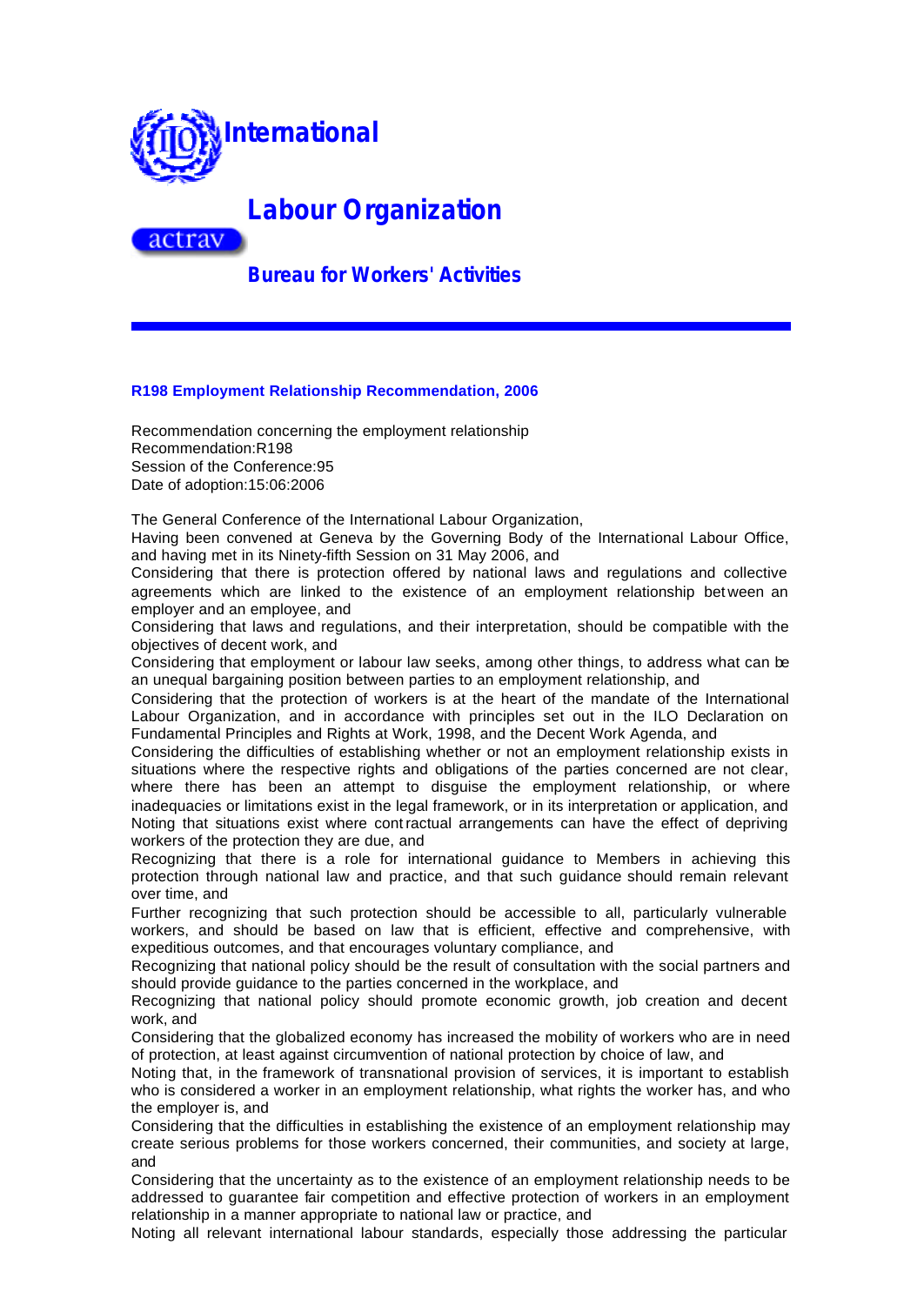

**Labour Organization**



**Bureau for Workers' Activities**

# **R198 Employment Relationship Recommendation, 2006**

Recommendation concerning the employment relationship Recommendation:R198 Session of the Conference:95 Date of adoption:15:06:2006

The General Conference of the International Labour Organization,

Having been convened at Geneva by the Governing Body of the International Labour Office, and having met in its Ninety-fifth Session on 31 May 2006, and

Considering that there is protection offered by national laws and regulations and collective agreements which are linked to the existence of an employment relationship bet ween an employer and an employee, and

Considering that laws and regulations, and their interpretation, should be compatible with the objectives of decent work, and

Considering that employment or labour law seeks, among other things, to address what can be an unequal bargaining position between parties to an employment relationship, and

Considering that the protection of workers is at the heart of the mandate of the International Labour Organization, and in accordance with principles set out in the ILO Declaration on Fundamental Principles and Rights at Work, 1998, and the Decent Work Agenda, and

Considering the difficulties of establishing whether or not an employment relationship exists in situations where the respective rights and obligations of the parties concerned are not clear, where there has been an attempt to disguise the employment relationship, or where inadequacies or limitations exist in the legal framework, or in its interpretation or application, and Noting that situations exist where contractual arrangements can have the effect of depriving workers of the protection they are due, and

Recognizing that there is a role for international guidance to Members in achieving this protection through national law and practice, and that such guidance should remain relevant over time, and

Further recognizing that such protection should be accessible to all, particularly vulnerable workers, and should be based on law that is efficient, effective and comprehensive, with expeditious outcomes, and that encourages voluntary compliance, and

Recognizing that national policy should be the result of consultation with the social partners and should provide guidance to the parties concerned in the workplace, and

Recognizing that national policy should promote economic growth, job creation and decent work, and

Considering that the globalized economy has increased the mobility of workers who are in need of protection, at least against circumvention of national protection by choice of law, and

Noting that, in the framework of transnational provision of services, it is important to establish who is considered a worker in an employment relationship, what rights the worker has, and who the employer is, and

Considering that the difficulties in establishing the existence of an employment relationship may create serious problems for those workers concerned, their communities, and society at large, and

Considering that the uncertainty as to the existence of an employment relationship needs to be addressed to guarantee fair competition and effective protection of workers in an employment relationship in a manner appropriate to national law or practice, and

Noting all relevant international labour standards, especially those addressing the particular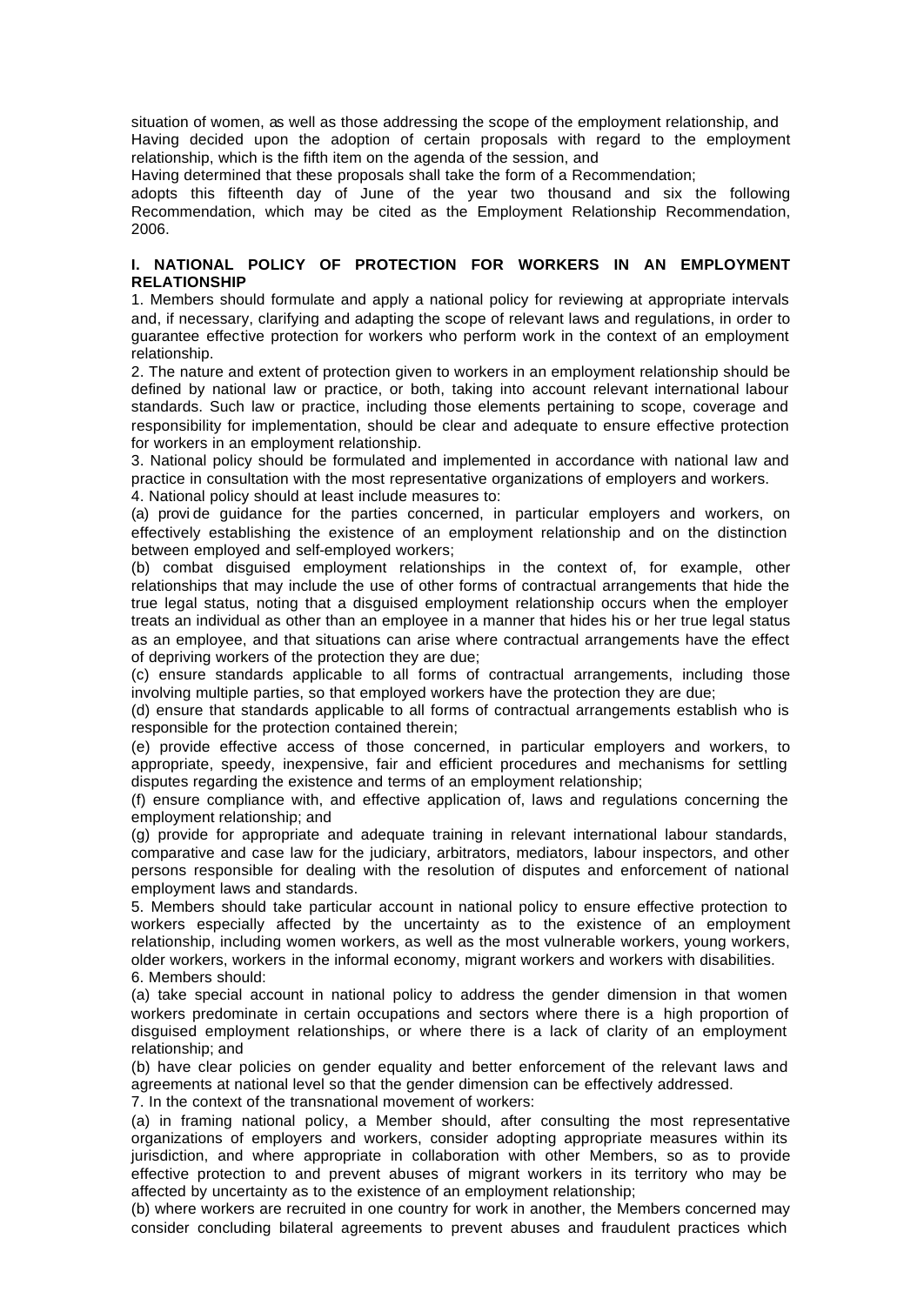situation of women, as well as those addressing the scope of the employment relationship, and Having decided upon the adoption of certain proposals with regard to the employment relationship, which is the fifth item on the agenda of the session, and

Having determined that these proposals shall take the form of a Recommendation;

adopts this fifteenth day of June of the year two thousand and six the following Recommendation, which may be cited as the Employment Relationship Recommendation, 2006.

## **I. NATIONAL POLICY OF PROTECTION FOR WORKERS IN AN EMPLOYMENT RELATIONSHIP**

1. Members should formulate and apply a national policy for reviewing at appropriate intervals and, if necessary, clarifying and adapting the scope of relevant laws and regulations, in order to guarantee effective protection for workers who perform work in the context of an employment relationship.

2. The nature and extent of protection given to workers in an employment relationship should be defined by national law or practice, or both, taking into account relevant international labour standards. Such law or practice, including those elements pertaining to scope, coverage and responsibility for implementation, should be clear and adequate to ensure effective protection for workers in an employment relationship.

3. National policy should be formulated and implemented in accordance with national law and practice in consultation with the most representative organizations of employers and workers.

4. National policy should at least include measures to:

(a) provi de guidance for the parties concerned, in particular employers and workers, on effectively establishing the existence of an employment relationship and on the distinction between employed and self-employed workers;

(b) combat disguised employment relationships in the context of, for example, other relationships that may include the use of other forms of contractual arrangements that hide the true legal status, noting that a disguised employment relationship occurs when the employer treats an individual as other than an employee in a manner that hides his or her true legal status as an employee, and that situations can arise where contractual arrangements have the effect of depriving workers of the protection they are due;

(c) ensure standards applicable to all forms of contractual arrangements, including those involving multiple parties, so that employed workers have the protection they are due;

(d) ensure that standards applicable to all forms of contractual arrangements establish who is responsible for the protection contained therein;

(e) provide effective access of those concerned, in particular employers and workers, to appropriate, speedy, inexpensive, fair and efficient procedures and mechanisms for settling disputes regarding the existence and terms of an employment relationship;

(f) ensure compliance with, and effective application of, laws and regulations concerning the employment relationship; and

(g) provide for appropriate and adequate training in relevant international labour standards, comparative and case law for the judiciary, arbitrators, mediators, labour inspectors, and other persons responsible for dealing with the resolution of disputes and enforcement of national employment laws and standards.

5. Members should take particular account in national policy to ensure effective protection to workers especially affected by the uncertainty as to the existence of an employment relationship, including women workers, as well as the most vulnerable workers, young workers, older workers, workers in the informal economy, migrant workers and workers with disabilities. 6. Members should:

(a) take special account in national policy to address the gender dimension in that women workers predominate in certain occupations and sectors where there is a high proportion of disguised employment relationships, or where there is a lack of clarity of an employment relationship; and

(b) have clear policies on gender equality and better enforcement of the relevant laws and agreements at national level so that the gender dimension can be effectively addressed.

7. In the context of the transnational movement of workers:

(a) in framing national policy, a Member should, after consulting the most representative organizations of employers and workers, consider adopting appropriate measures within its jurisdiction, and where appropriate in collaboration with other Members, so as to provide effective protection to and prevent abuses of migrant workers in its territory who may be affected by uncertainty as to the existence of an employment relationship;

(b) where workers are recruited in one country for work in another, the Members concerned may consider concluding bilateral agreements to prevent abuses and fraudulent practices which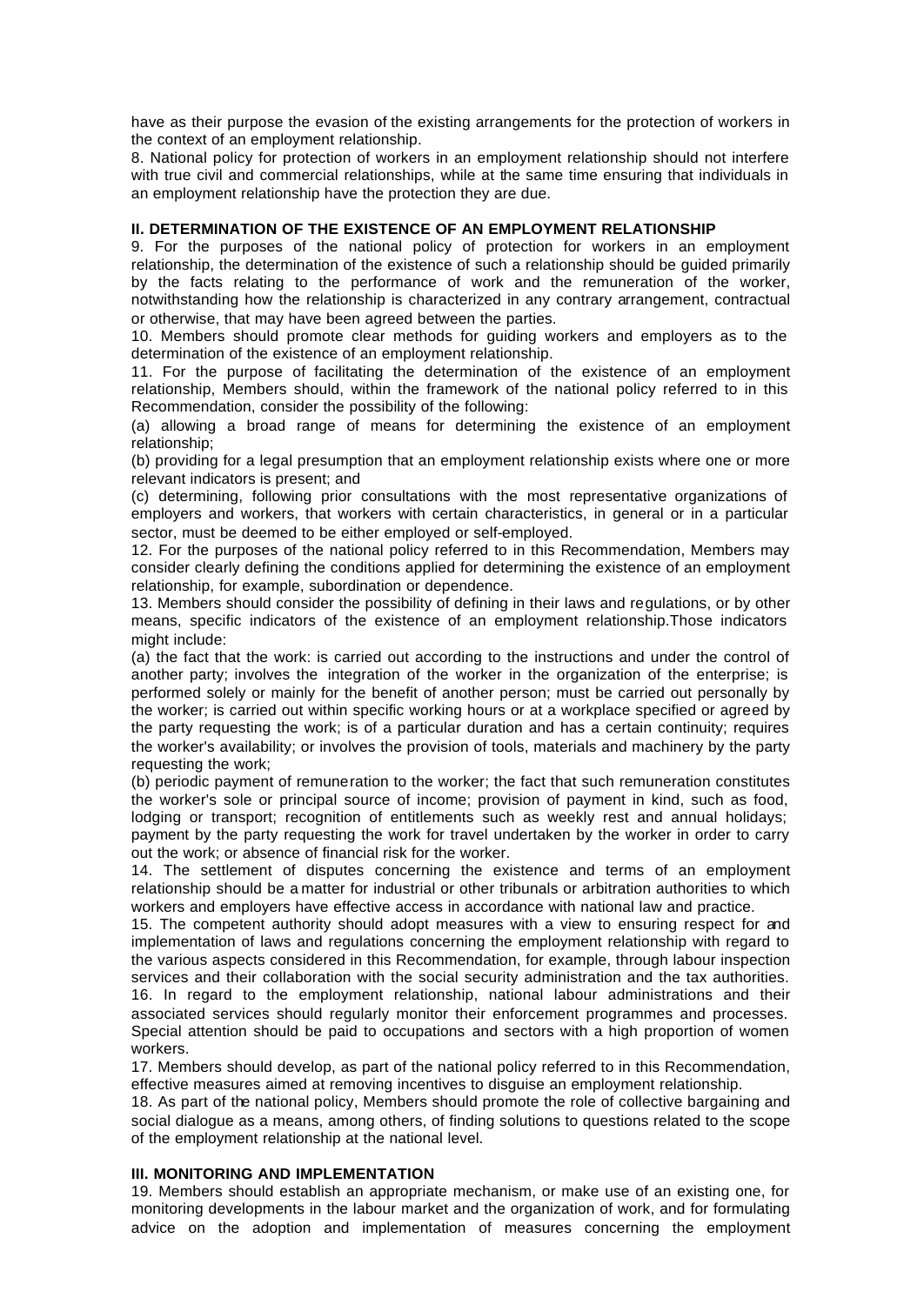have as their purpose the evasion of the existing arrangements for the protection of workers in the context of an employment relationship.

8. National policy for protection of workers in an employment relationship should not interfere with true civil and commercial relationships, while at the same time ensuring that individuals in an employment relationship have the protection they are due.

## **II. DETERMINATION OF THE EXISTENCE OF AN EMPLOYMENT RELATIONSHIP**

9. For the purposes of the national policy of protection for workers in an employment relationship, the determination of the existence of such a relationship should be guided primarily by the facts relating to the performance of work and the remuneration of the worker, notwithstanding how the relationship is characterized in any contrary arrangement, contractual or otherwise, that may have been agreed between the parties.

10. Members should promote clear methods for guiding workers and employers as to the determination of the existence of an employment relationship.

11. For the purpose of facilitating the determination of the existence of an employment relationship, Members should, within the framework of the national policy referred to in this Recommendation, consider the possibility of the following:

(a) allowing a broad range of means for determining the existence of an employment relationship;

(b) providing for a legal presumption that an employment relationship exists where one or more relevant indicators is present; and

(c) determining, following prior consultations with the most representative organizations of employers and workers, that workers with certain characteristics, in general or in a particular sector, must be deemed to be either employed or self-employed.

12. For the purposes of the national policy referred to in this Recommendation, Members may consider clearly defining the conditions applied for determining the existence of an employment relationship, for example, subordination or dependence.

13. Members should consider the possibility of defining in their laws and regulations, or by other means, specific indicators of the existence of an employment relationship.Those indicators might include:

(a) the fact that the work: is carried out according to the instructions and under the control of another party; involves the integration of the worker in the organization of the enterprise; is performed solely or mainly for the benefit of another person; must be carried out personally by the worker; is carried out within specific working hours or at a workplace specified or agreed by the party requesting the work; is of a particular duration and has a certain continuity; requires the worker's availability; or involves the provision of tools, materials and machinery by the party requesting the work;

(b) periodic payment of remuneration to the worker; the fact that such remuneration constitutes the worker's sole or principal source of income; provision of payment in kind, such as food, lodging or transport; recognition of entitlements such as weekly rest and annual holidays; payment by the party requesting the work for travel undertaken by the worker in order to carry out the work; or absence of financial risk for the worker.

14. The settlement of disputes concerning the existence and terms of an employment relationship should be a matter for industrial or other tribunals or arbitration authorities to which workers and employers have effective access in accordance with national law and practice.

15. The competent authority should adopt measures with a view to ensuring respect for and implementation of laws and regulations concerning the employment relationship with regard to the various aspects considered in this Recommendation, for example, through labour inspection services and their collaboration with the social security administration and the tax authorities. 16. In regard to the employment relationship, national labour administrations and their associated services should regularly monitor their enforcement programmes and processes. Special attention should be paid to occupations and sectors with a high proportion of women workers.

17. Members should develop, as part of the national policy referred to in this Recommendation, effective measures aimed at removing incentives to disguise an employment relationship.

18. As part of the national policy, Members should promote the role of collective bargaining and social dialogue as a means, among others, of finding solutions to questions related to the scope of the employment relationship at the national level.

### **III. MONITORING AND IMPLEMENTATION**

19. Members should establish an appropriate mechanism, or make use of an existing one, for monitoring developments in the labour market and the organization of work, and for formulating advice on the adoption and implementation of measures concerning the employment